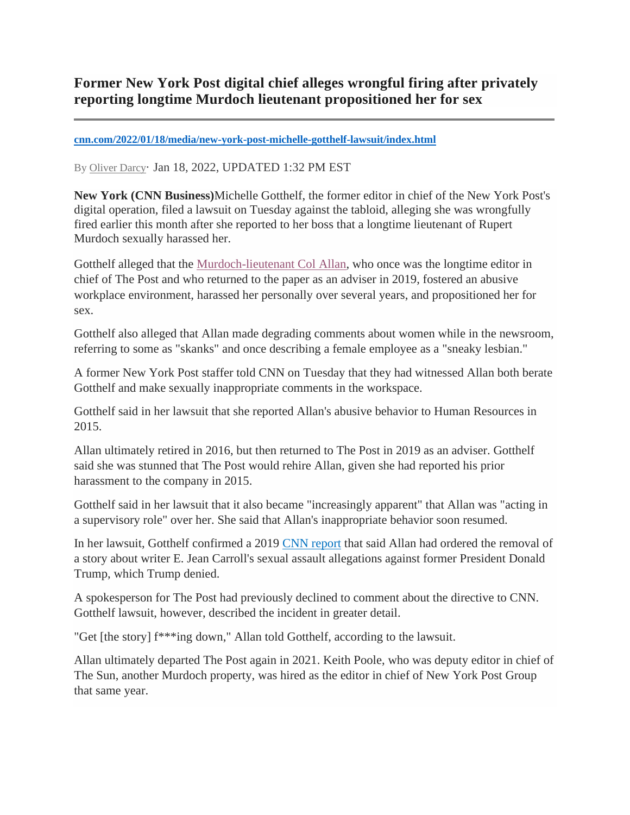## **Former New York Post digital chief alleges wrongful firing after privately reporting longtime Murdoch lieutenant propositioned her for sex**

## **[cnn.com/2022/01/18/media/new-york-post-michelle-gotthelf-lawsuit/index.html](https://www.cnn.com/2022/01/18/media/new-york-post-michelle-gotthelf-lawsuit/index.html)**

By [Oliver Darcy](https://www.cnn.com/profiles/oliver-darcy)· Jan 18, 2022, UPDATED 1:32 PM EST

**New York (CNN Business)**Michelle Gotthelf, the former editor in chief of the New York Post's digital operation, filed a lawsuit on Tuesday against the tabloid, alleging she was wrongfully fired earlier this month after she reported to her boss that a longtime lieutenant of Rupert Murdoch sexually harassed her.

Gotthelf alleged that the [Murdoch-lieutenant Col Allan,](https://www.cnn.com/2019/06/24/media/new-york-post-col-allan-trump/index.html) who once was the longtime editor in chief of The Post and who returned to the paper as an adviser in 2019, fostered an abusive workplace environment, harassed her personally over several years, and propositioned her for sex.

Gotthelf also alleged that Allan made degrading comments about women while in the newsroom, referring to some as "skanks" and once describing a female employee as a "sneaky lesbian."

A former New York Post staffer told CNN on Tuesday that they had witnessed Allan both berate Gotthelf and make sexually inappropriate comments in the workspace.

Gotthelf said in her lawsuit that she reported Allan's abusive behavior to Human Resources in 2015.

Allan ultimately retired in 2016, but then returned to The Post in 2019 as an adviser. Gotthelf said she was stunned that The Post would rehire Allan, given she had reported his prior harassment to the company in 2015.

Gotthelf said in her lawsuit that it also became "increasingly apparent" that Allan was "acting in a supervisory role" over her. She said that Allan's inappropriate behavior soon resumed.

In her lawsuit, Gotthelf confirmed a 2019 [CNN report](https://www.cnn.com/2019/06/24/media/new-york-post-col-allan-trump/index.html) that said Allan had ordered the removal of a story about writer E. Jean Carroll's sexual assault allegations against former President Donald Trump, which Trump denied.

A spokesperson for The Post had previously declined to comment about the directive to CNN. Gotthelf lawsuit, however, described the incident in greater detail.

"Get [the story] f\*\*\*ing down," Allan told Gotthelf, according to the lawsuit.

Allan ultimately departed The Post again in 2021. Keith Poole, who was deputy editor in chief of The Sun, another Murdoch property, was hired as the editor in chief of New York Post Group that same year.